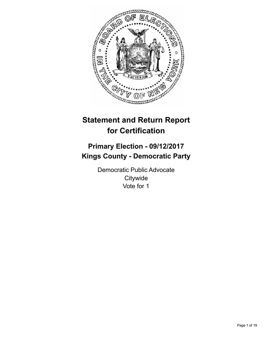

# **Statement and Return Report for Certification**

## **Primary Election - 09/12/2017 Kings County - Democratic Party**

Democratic Public Advocate **Citywide** Vote for 1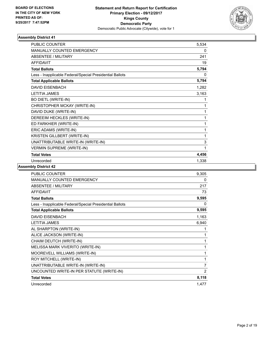

| <b>PUBLIC COUNTER</b>                                    | 5,534 |
|----------------------------------------------------------|-------|
| <b>MANUALLY COUNTED EMERGENCY</b>                        | 0     |
| <b>ABSENTEE / MILITARY</b>                               | 241   |
| <b>AFFIDAVIT</b>                                         | 19    |
| <b>Total Ballots</b>                                     | 5,794 |
| Less - Inapplicable Federal/Special Presidential Ballots | 0     |
| <b>Total Applicable Ballots</b>                          | 5,794 |
| <b>DAVID EISENBACH</b>                                   | 1,282 |
| <b>LETITIA JAMES</b>                                     | 3,163 |
| <b>BO DIETL (WRITE-IN)</b>                               | 1     |
| CHRISTOPHER MCKAY (WRITE-IN)                             | 1     |
| DAVID DUKE (WRITE-IN)                                    | 1     |
| DEREEIM HECKLES (WRITE-IN)                               | 1     |
| ED FARKHIER (WRITE-IN)                                   | 1     |
| ERIC ADAMS (WRITE-IN)                                    | 1     |
| KRISTEN GILLBERT (WRITE-IN)                              | 1     |
| UNATTRIBUTABLE WRITE-IN (WRITE-IN)                       | 3     |
| <b>VERMIN SUPREME (WRITE-IN)</b>                         | 1     |
| <b>Total Votes</b>                                       | 4,456 |
| Unrecorded                                               | 1,338 |

| <b>PUBLIC COUNTER</b>                                    | 9,305          |
|----------------------------------------------------------|----------------|
| <b>MANUALLY COUNTED EMERGENCY</b>                        | 0              |
| ABSENTEE / MILITARY                                      | 217            |
| <b>AFFIDAVIT</b>                                         | 73             |
| <b>Total Ballots</b>                                     | 9,595          |
| Less - Inapplicable Federal/Special Presidential Ballots | 0              |
| <b>Total Applicable Ballots</b>                          | 9,595          |
| <b>DAVID EISENBACH</b>                                   | 1,163          |
| <b>LETITIA JAMES</b>                                     | 6,940          |
| AL SHARPTON (WRITE-IN)                                   | 1              |
| ALICE JACKSON (WRITE-IN)                                 | 1              |
| CHAIM DEUTCH (WRITE-IN)                                  | 1              |
| MELISSA MARK VIVERITO (WRITE-IN)                         | 1              |
| MOOREVELL WILLIAMS (WRITE-IN)                            | 1              |
| ROY MITCHELL (WRITE-IN)                                  | 1              |
| UNATTRIBUTABLE WRITE-IN (WRITE-IN)                       | 7              |
| UNCOUNTED WRITE-IN PER STATUTE (WRITE-IN)                | $\overline{2}$ |
| <b>Total Votes</b>                                       | 8,118          |
| Unrecorded                                               | 1,477          |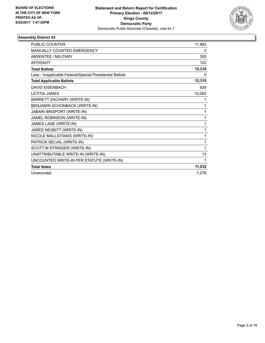

| <b>PUBLIC COUNTER</b>                                    | 11,883 |
|----------------------------------------------------------|--------|
| MANUALLY COUNTED EMERGENCY                               | 0      |
| <b>ABSENTEE / MILITARY</b>                               | 305    |
| <b>AFFIDAVIT</b>                                         | 122    |
| <b>Total Ballots</b>                                     | 12,310 |
| Less - Inapplicable Federal/Special Presidential Ballots | 0      |
| <b>Total Applicable Ballots</b>                          | 12,310 |
| <b>DAVID EISENBACH</b>                                   | 926    |
| <b>LETITIA JAMES</b>                                     | 10,083 |
| BARRETT ZACHARY (WRITE-IN)                               | 1      |
| BENJAMIN SCHONBACK (WRITE-IN)                            | 1      |
| JABARI BRISPORT (WRITE-IN)                               | 1      |
| JAMEL ROBINSON (WRITE-IN)                                | 1      |
| JAMES LANE (WRITE-IN)                                    | 1      |
| JARED NESBITT (WRITE-IN)                                 | 1      |
| NICOLE MALLIOTAKIS (WRITE-IN)                            | 1      |
| PATRICK SELVAL (WRITE-IN)                                | 1      |
| SCOTT M STRINGER (WRITE-IN)                              | 1      |
| UNATTRIBUTABLE WRITE-IN (WRITE-IN)                       | 13     |
| UNCOUNTED WRITE-IN PER STATUTE (WRITE-IN)                | 1      |
| <b>Total Votes</b>                                       | 11,032 |
| Unrecorded                                               | 1,278  |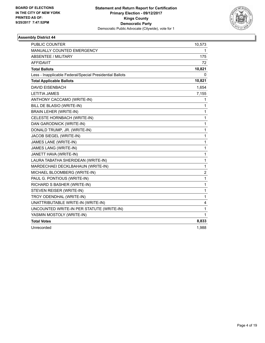

| PUBLIC COUNTER                                           | 10,573 |
|----------------------------------------------------------|--------|
| <b>MANUALLY COUNTED EMERGENCY</b>                        | 1      |
| ABSENTEE / MILITARY                                      | 175    |
| <b>AFFIDAVIT</b>                                         | 72     |
| <b>Total Ballots</b>                                     | 10,821 |
| Less - Inapplicable Federal/Special Presidential Ballots | 0      |
| <b>Total Applicable Ballots</b>                          | 10,821 |
| <b>DAVID EISENBACH</b>                                   | 1,654  |
| <b>LETITIA JAMES</b>                                     | 7,155  |
| ANTHONY CACCAMO (WRITE-IN)                               | 1      |
| BILL DE BLASIO (WRITE-IN)                                | 1      |
| <b>BRAIN LEHER (WRITE-IN)</b>                            | 1      |
| CELESTE HORNBACH (WRITE-IN)                              | 1      |
| DAN GARODNICK (WRITE-IN)                                 | 1      |
| DONALD TRUMP, JR. (WRITE-IN)                             | 1      |
| JACOB SIEGEL (WRITE-IN)                                  | 1      |
| JAMES LANE (WRITE-IN)                                    | 1      |
| JAMES LANG (WRITE-IN)                                    | 1      |
| JANETT HAVA (WRITE-IN)                                   | 1      |
| LAURA TABATHA SHERIDEAN (WRITE-IN)                       | 1      |
| MARDECHAEI DECKLBAHAUN (WRITE-IN)                        | 1      |
| MICHAEL BLOOMBERG (WRITE-IN)                             | 2      |
| PAUL G. PONTIOUS (WRITE-IN)                              | 1      |
| RICHARD S BASHER (WRITE-IN)                              | 1      |
| STEVEN REISER (WRITE-IN)                                 | 1      |
| TROY ODENDHAL (WRITE-IN)                                 | 1      |
| UNATTRIBUTABLE WRITE-IN (WRITE-IN)                       | 4      |
| UNCOUNTED WRITE-IN PER STATUTE (WRITE-IN)                | 1      |
| YASMIN MOSTOLY (WRITE-IN)                                | 1      |
| <b>Total Votes</b>                                       | 8,833  |
| Unrecorded                                               | 1,988  |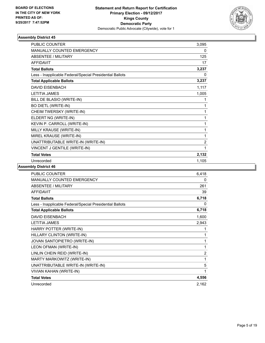

| PUBLIC COUNTER                                           | 3,095          |
|----------------------------------------------------------|----------------|
| <b>MANUALLY COUNTED EMERGENCY</b>                        | 0              |
| ABSENTEE / MILITARY                                      | 125            |
| AFFIDAVIT                                                | 17             |
| <b>Total Ballots</b>                                     | 3,237          |
| Less - Inapplicable Federal/Special Presidential Ballots | 0              |
| <b>Total Applicable Ballots</b>                          | 3,237          |
| <b>DAVID EISENBACH</b>                                   | 1,117          |
| <b>LETITIA JAMES</b>                                     | 1,005          |
| BILL DE BLASIO (WRITE-IN)                                | 1              |
| <b>BO DIETL (WRITE-IN)</b>                               | 1              |
| CHEIM TWERSKY (WRITE-IN)                                 | 1              |
| ELDERT NG (WRITE-IN)                                     | 1              |
| KEVIN P. CARROLL (WRITE-IN)                              | 1              |
| MILLY KRAUSE (WRITE-IN)                                  | 1              |
| MIREL KRAUSE (WRITE-IN)                                  | 1              |
| UNATTRIBUTABLE WRITE-IN (WRITE-IN)                       | $\overline{2}$ |
| VINCENT J GENTILE (WRITE-IN)                             | 1              |
| <b>Total Votes</b>                                       | 2,132          |
| Unrecorded                                               | 1,105          |

| <b>PUBLIC COUNTER</b>                                    | 6,418          |
|----------------------------------------------------------|----------------|
| <b>MANUALLY COUNTED EMERGENCY</b>                        | 0              |
| ABSENTEE / MILITARY                                      | 261            |
| <b>AFFIDAVIT</b>                                         | 39             |
| <b>Total Ballots</b>                                     | 6,718          |
| Less - Inapplicable Federal/Special Presidential Ballots | 0              |
| <b>Total Applicable Ballots</b>                          | 6,718          |
| DAVID EISENBACH                                          | 1,600          |
| <b>LETITIA JAMES</b>                                     | 2,943          |
| HARRY POTTER (WRITE-IN)                                  | 1              |
| HILLARY CLINTON (WRITE-IN)                               | 1              |
| JOVAN SANTOPIETRO (WRITE-IN)                             | 1              |
| LEON OFMAN (WRITE-IN)                                    | 1              |
| LINLIN CHEIN REID (WRITE-IN)                             | $\overline{2}$ |
| MARTY MARKOWITZ (WRITE-IN)                               | 1              |
| UNATTRIBUTABLE WRITE-IN (WRITE-IN)                       | 5              |
| VIVIAN KAHAN (WRITE-IN)                                  | 1              |
| <b>Total Votes</b>                                       | 4,556          |
| Unrecorded                                               | 2,162          |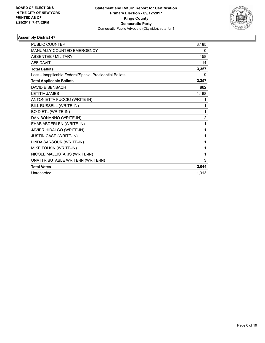

| <b>PUBLIC COUNTER</b>                                    | 3,185          |
|----------------------------------------------------------|----------------|
| <b>MANUALLY COUNTED EMERGENCY</b>                        | 0              |
| <b>ABSENTEE / MILITARY</b>                               | 158            |
| <b>AFFIDAVIT</b>                                         | 14             |
| <b>Total Ballots</b>                                     | 3,357          |
| Less - Inapplicable Federal/Special Presidential Ballots | 0              |
| <b>Total Applicable Ballots</b>                          | 3,357          |
| DAVID EISENBACH                                          | 862            |
| <b>LETITIA JAMES</b>                                     | 1,168          |
| ANTONIETTA FUCCIO (WRITE-IN)                             | 1              |
| BILL RUSSELL (WRITE-IN)                                  | 1              |
| <b>BO DIETL (WRITE-IN)</b>                               | 1              |
| DAN BONANNO (WRITE-IN)                                   | $\overline{2}$ |
| EHAB ABDERLEN (WRITE-IN)                                 | 1              |
| JAVIER HIDALGO (WRITE-IN)                                | 1              |
| JUSTIN CASE (WRITE-IN)                                   | 1              |
| LINDA SARSOUR (WRITE-IN)                                 | 1              |
| MIKE TOLKIN (WRITE-IN)                                   | 1              |
| NICOLE MALLIOTAKIS (WRITE-IN)                            | 1              |
| UNATTRIBUTABLE WRITE-IN (WRITE-IN)                       | 3              |
| <b>Total Votes</b>                                       | 2,044          |
| Unrecorded                                               | 1.313          |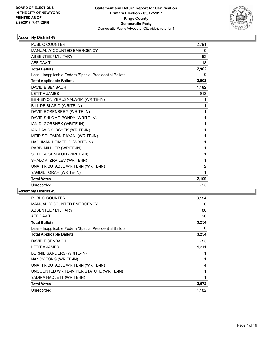

| <b>PUBLIC COUNTER</b>                                    | 2,791          |
|----------------------------------------------------------|----------------|
| <b>MANUALLY COUNTED EMERGENCY</b>                        | 0              |
| <b>ABSENTEE / MILITARY</b>                               | 93             |
| <b>AFFIDAVIT</b>                                         | 18             |
| <b>Total Ballots</b>                                     | 2,902          |
| Less - Inapplicable Federal/Special Presidential Ballots | $\Omega$       |
| <b>Total Applicable Ballots</b>                          | 2,902          |
| <b>DAVID EISENBACH</b>                                   | 1,182          |
| <b>LETITIA JAMES</b>                                     | 913            |
| BEN-SIYON YERUSNALAYIM (WRITE-IN)                        | 1              |
| BILL DE BLASIO (WRITE-IN)                                | 1              |
| DAVID ROSENBERG (WRITE-IN)                               | 1              |
| DAVID SHLOMO BONDY (WRITE-IN)                            | 1              |
| IAN D. GORSHEK (WRITE-IN)                                | 1              |
| IAN DAVID GIRSHEK (WRITE-IN)                             | 1              |
| MEIR SOLOMON DAYANI (WRITE-IN)                           | 1              |
| NACHMAN HEIMFELD (WRITE-IN)                              | 1              |
| RABBI MILLLER (WRITE-IN)                                 | 1              |
| SETH ROSENBLUM (WRITE-IN)                                | 1              |
| SHALOM IZRAILEV (WRITE-IN)                               | 1              |
| UNATTRIBUTABLE WRITE-IN (WRITE-IN)                       | $\overline{c}$ |
| YAGDIL TORAH (WRITE-IN)                                  | 1              |
| <b>Total Votes</b>                                       | 2,109          |
| Unrecorded                                               | 793            |

| PUBLIC COUNTER                                           | 3,154 |
|----------------------------------------------------------|-------|
| <b>MANUALLY COUNTED EMERGENCY</b>                        | 0     |
| ABSENTEE / MILITARY                                      | 80    |
| AFFIDAVIT                                                | 20    |
| <b>Total Ballots</b>                                     | 3,254 |
| Less - Inapplicable Federal/Special Presidential Ballots | 0     |
| <b>Total Applicable Ballots</b>                          | 3,254 |
| <b>DAVID EISENBACH</b>                                   | 753   |
| LETITIA JAMES                                            | 1,311 |
| BERNIE SANDERS (WRITE-IN)                                | 1     |
| NANCY TONG (WRITE-IN)                                    | 1     |
| UNATTRIBUTABLE WRITE-IN (WRITE-IN)                       | 4     |
| UNCOUNTED WRITE-IN PER STATUTE (WRITE-IN)                | 1     |
| YADIRA HADLETT (WRITE-IN)                                | 1     |
| <b>Total Votes</b>                                       | 2,072 |
| Unrecorded                                               | 1,182 |
|                                                          |       |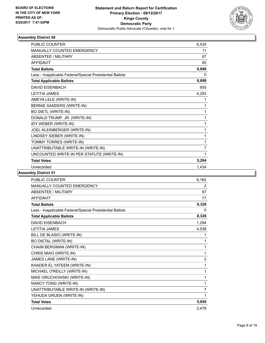

| <b>PUBLIC COUNTER</b>                                    | 6,535          |
|----------------------------------------------------------|----------------|
| MANUALLY COUNTED EMERGENCY                               | 11             |
| <b>ABSENTEE / MILITARY</b>                               | 67             |
| <b>AFFIDAVIT</b>                                         | 85             |
| <b>Total Ballots</b>                                     | 6,698          |
| Less - Inapplicable Federal/Special Presidential Ballots | 0              |
| <b>Total Applicable Ballots</b>                          | 6,698          |
| <b>DAVID EISENBACH</b>                                   | 955            |
| <b>LETITIA JAMES</b>                                     | 4,293          |
| AMEYA LELE (WRITE-IN)                                    | 1              |
| BERNIE SANDERS (WRITE-IN)                                | 1              |
| <b>BO DIETL (WRITE-IN)</b>                               | 1              |
| DONALD TRUMP, JR. (WRITE-IN)                             | 1              |
| IDY WEBER (WRITE-IN)                                     | 1              |
| JOEL KLEINBERGER (WRITE-IN)                              | 1              |
| LINDSEY SIEBER (WRITE-IN)                                | 1              |
| TOMMY TORRES (WRITE-IN)                                  | 1              |
| UNATTRIBUTABLE WRITE-IN (WRITE-IN)                       | $\overline{7}$ |
| UNCOUNTED WRITE-IN PER STATUTE (WRITE-IN)                | 1              |
| <b>Total Votes</b>                                       | 5,264          |
| Unrecorded                                               | 1,434          |

| <b>PUBLIC COUNTER</b>                                    | 8,162          |
|----------------------------------------------------------|----------------|
| <b>MANUALLY COUNTED EMERGENCY</b>                        | 2              |
| <b>ABSENTEE / MILITARY</b>                               | 87             |
| <b>AFFIDAVIT</b>                                         | 77             |
| <b>Total Ballots</b>                                     | 8,328          |
| Less - Inapplicable Federal/Special Presidential Ballots | 0              |
| <b>Total Applicable Ballots</b>                          | 8,328          |
| <b>DAVID EISENBACH</b>                                   | 1,294          |
| <b>LETITIA JAMES</b>                                     | 4,538          |
| BILL DE BLASIO (WRITE-IN)                                | 1              |
| <b>BO DIETAL (WRITE-IN)</b>                              | 1              |
| CHAIM BERGMAN (WRITE-IN)                                 | 1              |
| CHRIS MIAO (WRITE-IN)                                    | 1              |
| JAMES LANE (WRITE-IN)                                    | $\overline{2}$ |
| KHADER EL YATEEM (WRITE-IN)                              | 1              |
| MICHAEL O'REILLY (WRITE-IN)                              | 1              |
| MIKE GRUCHOWSKI (WRITE-IN)                               | 1              |
| NANCY TONG (WRITE-IN)                                    | 1              |
| UNATTRIBUTABLE WRITE-IN (WRITE-IN)                       | $\overline{7}$ |
| YEHUDA GRUEN (WRITE-IN)                                  | 1              |
| <b>Total Votes</b>                                       | 5,850          |
| Unrecorded                                               | 2,478          |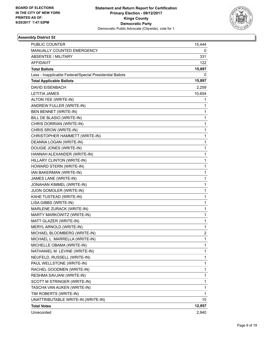

| <b>PUBLIC COUNTER</b>                                    | 15,444         |
|----------------------------------------------------------|----------------|
| MANUALLY COUNTED EMERGENCY                               | 0              |
| ABSENTEE / MILITARY                                      | 331            |
| <b>AFFIDAVIT</b>                                         | 122            |
| <b>Total Ballots</b>                                     | 15,897         |
| Less - Inapplicable Federal/Special Presidential Ballots | 0              |
| <b>Total Applicable Ballots</b>                          | 15,897         |
| <b>DAVID EISENBACH</b>                                   | 2,259          |
| <b>LETITIA JAMES</b>                                     | 10,654         |
| ALTON YEE (WRITE-IN)                                     | 1              |
| ANDREW FULLER (WRITE-IN)                                 | 1              |
| BEN BENNET (WRITE-IN)                                    | 1              |
| BILL DE BLASIO (WRITE-IN)                                | 1              |
| CHRIS DORRIAN (WRITE-IN)                                 | 1              |
| CHRIS SROW (WRITE-IN)                                    | 1              |
| CHRISTOPHER HAMMETT (WRITE-IN)                           | 1              |
| DEANNA LOGAN (WRITE-IN)                                  | 1              |
| DOUGIE JONES (WRITE-IN)                                  | 1              |
| HANNAH ALEXANDER (WRITE-IN)                              | 1              |
| HILLARY CLINTON (WRITE-IN)                               | 1              |
| HOWARD STERN (WRITE-IN)                                  | 1              |
| IAN BAKERMAN (WRITE-IN)                                  | 1              |
| JAMES LANE (WRITE-IN)                                    | 1              |
| JONAHAN KIMMEL (WRITE-IN)                                | 1              |
| JUON GOMOLER (WRITE-IN)                                  | 1              |
| KAHE TUSTEAD (WRITE-IN)                                  | 1              |
| LISA GIBBS (WRITE-IN)                                    | 1              |
| MARLENE ZURACK (WRITE-IN)                                | 1              |
| MARTY MARKOWITZ (WRITE-IN)                               | 1              |
| MATT GLAZER (WRITE-IN)                                   | 1              |
| MERYL ARNOLD (WRITE-IN)                                  | 1              |
| MICHAEL BLOOMBERG (WRITE-IN)                             | $\overline{2}$ |
| MICHAEL L. MARRELLA (WRITE-IN)                           | 1              |
| MICHELLE OBAMA (WRITE-IN)                                | 1              |
| NATHANIEL M. LEVINE (WRITE-IN)                           | 1              |
| NEUFELD, RUSSELL (WRITE-IN)                              | 1              |
| PAUL WELLSTONE (WRITE-IN)                                | 1              |
| RACHEL GOODMEN (WRITE-IN)                                | 1              |
| RESHMA SAVJANI (WRITE-IN)                                | 1              |
| SCOTT M STRINGER (WRITE-IN)                              | 1              |
| TASCHA VAN AUKEN (WRITE-IN)                              | 1              |
| TIM ROBERTS (WRITE-IN)                                   | 1              |
| UNATTRIBUTABLE WRITE-IN (WRITE-IN)                       | 10             |
| <b>Total Votes</b>                                       | 12,957         |
| Unrecorded                                               | 2,940          |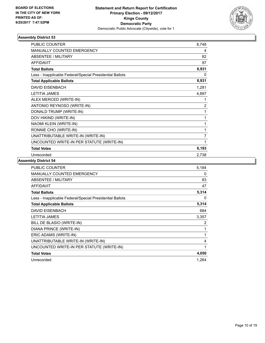

| <b>PUBLIC COUNTER</b>                                    | 8,748          |
|----------------------------------------------------------|----------------|
| <b>MANUALLY COUNTED EMERGENCY</b>                        | 4              |
| <b>ABSENTEE / MILITARY</b>                               | 82             |
| <b>AFFIDAVIT</b>                                         | 97             |
| <b>Total Ballots</b>                                     | 8,931          |
| Less - Inapplicable Federal/Special Presidential Ballots | 0              |
| <b>Total Applicable Ballots</b>                          | 8,931          |
| <b>DAVID EISENBACH</b>                                   | 1,281          |
| <b>LETITIA JAMES</b>                                     | 4,897          |
| ALEX MERCED (WRITE-IN)                                   | 1              |
| ANTONIO REYNOSO (WRITE-IN)                               | $\overline{c}$ |
| DONALD TRUMP (WRITE-IN)                                  | 1              |
| DOV HIKIND (WRITE-IN)                                    | 1              |
| NAOMI KLEIN (WRITE-IN)                                   | 1              |
| RONNIE CHO (WRITE-IN)                                    | 1              |
| UNATTRIBUTABLE WRITE-IN (WRITE-IN)                       | $\overline{7}$ |
| UNCOUNTED WRITE-IN PER STATUTE (WRITE-IN)                | 1              |
| <b>Total Votes</b>                                       | 6,193          |
| Unrecorded                                               | 2,738          |

| <b>PUBLIC COUNTER</b>                                    | 5.184 |
|----------------------------------------------------------|-------|
| <b>MANUALLY COUNTED EMERGENCY</b>                        | 0     |
| ABSENTEE / MILITARY                                      | 83    |
| AFFIDAVIT                                                | 47    |
| <b>Total Ballots</b>                                     | 5,314 |
| Less - Inapplicable Federal/Special Presidential Ballots | 0     |
| <b>Total Applicable Ballots</b>                          | 5,314 |
| <b>DAVID EISENBACH</b>                                   | 684   |
| <b>LETITIA JAMES</b>                                     | 3,357 |
| BILL DE BLASIO (WRITE-IN)                                | 2     |
| DIANA PRINCE (WRITE-IN)                                  | 1     |
| ERIC ADAMS (WRITE-IN)                                    | 1     |
| UNATTRIBUTABLE WRITE-IN (WRITE-IN)                       | 4     |
| UNCOUNTED WRITE-IN PER STATUTE (WRITE-IN)                | 1     |
| <b>Total Votes</b>                                       | 4,050 |
| Unrecorded                                               | 1,264 |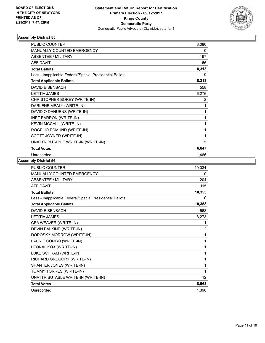

| <b>PUBLIC COUNTER</b>                                    | 8,080 |
|----------------------------------------------------------|-------|
| <b>MANUALLY COUNTED EMERGENCY</b>                        | 0     |
| ABSENTEE / MILITARY                                      | 167   |
| <b>AFFIDAVIT</b>                                         | 66    |
| <b>Total Ballots</b>                                     | 8,313 |
| Less - Inapplicable Federal/Special Presidential Ballots | 0     |
| <b>Total Applicable Ballots</b>                          | 8,313 |
| <b>DAVID EISENBACH</b>                                   | 558   |
| <b>LETITIA JAMES</b>                                     | 6,276 |
| CHRISTOPHER BOREY (WRITE-IN)                             | 2     |
| DARLENE MEALY (WRITE-IN)                                 | 1     |
| DAVID O DANUENS (WRITE-IN)                               | 1     |
| <b>INEZ BARRON (WRITE-IN)</b>                            | 1     |
| KEVIN MCCALL (WRITE-IN)                                  | 1     |
| ROGELIO EDMUND (WRITE-IN)                                | 1     |
| SCOTT JOYNER (WRITE-IN)                                  | 1     |
| UNATTRIBUTABLE WRITE-IN (WRITE-IN)                       | 5     |
| <b>Total Votes</b>                                       | 6,847 |
| Unrecorded                                               | 1,466 |

| PUBLIC COUNTER                                           | 10,034         |
|----------------------------------------------------------|----------------|
| MANUALLY COUNTED EMERGENCY                               | 0              |
| <b>ABSENTEE / MILITARY</b>                               | 204            |
| <b>AFFIDAVIT</b>                                         | 115            |
| <b>Total Ballots</b>                                     | 10,353         |
| Less - Inapplicable Federal/Special Presidential Ballots | 0              |
| <b>Total Applicable Ballots</b>                          | 10,353         |
| <b>DAVID EISENBACH</b>                                   | 668            |
| <b>LETITIA JAMES</b>                                     | 8,273          |
| CEA WEAVER (WRITE-IN)                                    | 1              |
| DEVIN BALKIND (WRITE-IN)                                 | $\overline{2}$ |
| DOROSKY MORROW (WRITE-IN)                                | 1              |
| LAURIE COMBO (WRITE-IN)                                  | 1              |
| LEONAL KOX (WRITE-IN)                                    | 1              |
| LUKE SCHRAM (WRITE-IN)                                   | 1              |
| RICHARD GREGORY (WRITE-IN)                               | 1              |
| SHANTER JONES (WRITE-IN)                                 | 1              |
| TOMMY TORRES (WRITE-IN)                                  | 1              |
| UNATTRIBUTABLE WRITE-IN (WRITE-IN)                       | 12             |
| <b>Total Votes</b>                                       | 8,963          |
| Unrecorded                                               | 1,390          |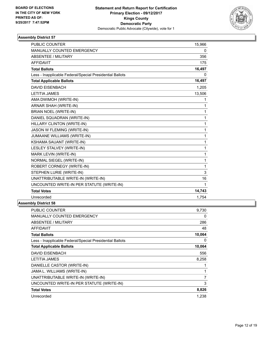

| <b>PUBLIC COUNTER</b>                                    | 15,966 |
|----------------------------------------------------------|--------|
| MANUALLY COUNTED EMERGENCY                               | 0      |
| <b>ABSENTEE / MILITARY</b>                               | 356    |
| <b>AFFIDAVIT</b>                                         | 175    |
| <b>Total Ballots</b>                                     | 16,497 |
| Less - Inapplicable Federal/Special Presidential Ballots | 0      |
| <b>Total Applicable Ballots</b>                          | 16,497 |
| <b>DAVID EISENBACH</b>                                   | 1,205  |
| <b>LETITIA JAMES</b>                                     | 13,506 |
| AMA DWIMOH (WRITE-IN)                                    | 1      |
| <b>ARNAR SHAH (WRITE-IN)</b>                             | 1      |
| <b>BRIAN NOEL (WRITE-IN)</b>                             | 1      |
| DANIEL SQUADRAN (WRITE-IN)                               | 1      |
| HILLARY CLINTON (WRITE-IN)                               | 1      |
| JASON W FLEMING (WRITE-IN)                               | 1      |
| JUMAANE WILLIAMS (WRITE-IN)                              | 1      |
| KSHAMA SAUANT (WRITE-IN)                                 | 1      |
| <b>LESLEY STALVEY (WRITE-IN)</b>                         | 1      |
| MARK LEVIN (WRITE-IN)                                    | 1      |
| NORMAL SIEGEL (WRITE-IN)                                 | 1      |
| ROBERT CORNEGY (WRITE-IN)                                | 1      |
| STEPHEN LURIE (WRITE-IN)                                 | 3      |
| UNATTRIBUTABLE WRITE-IN (WRITE-IN)                       | 16     |
| UNCOUNTED WRITE-IN PER STATUTE (WRITE-IN)                | 1      |
| <b>Total Votes</b>                                       | 14,743 |
| Unrecorded                                               | 1,754  |
|                                                          |        |

| <b>PUBLIC COUNTER</b>                                    | 9.730  |
|----------------------------------------------------------|--------|
| MANUALLY COUNTED EMERGENCY                               | 0      |
| ABSENTEE / MILITARY                                      | 286    |
| <b>AFFIDAVIT</b>                                         | 48     |
| <b>Total Ballots</b>                                     | 10,064 |
| Less - Inapplicable Federal/Special Presidential Ballots | 0      |
| <b>Total Applicable Ballots</b>                          | 10,064 |
| <b>DAVID EISENBACH</b>                                   | 556    |
| <b>LETITIA JAMES</b>                                     | 8,258  |
| DANIELLE CASTOR (WRITE-IN)                               |        |
| JAMA L. WILLIAMS (WRITE-IN)                              | 1      |
| UNATTRIBUTABLE WRITE-IN (WRITE-IN)                       | 7      |
| UNCOUNTED WRITE-IN PER STATUTE (WRITE-IN)                | 3      |
| <b>Total Votes</b>                                       | 8,826  |
| Unrecorded                                               | 1,238  |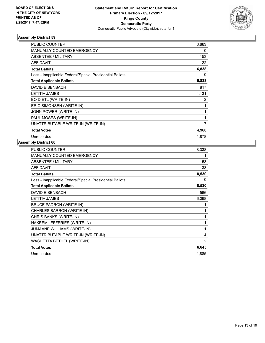

| <b>PUBLIC COUNTER</b>                                    | 6,663 |
|----------------------------------------------------------|-------|
| MANUALLY COUNTED EMERGENCY                               | 0     |
| ABSENTEE / MILITARY                                      | 153   |
| <b>AFFIDAVIT</b>                                         | 22    |
| <b>Total Ballots</b>                                     | 6,838 |
| Less - Inapplicable Federal/Special Presidential Ballots | 0     |
| <b>Total Applicable Ballots</b>                          | 6,838 |
| <b>DAVID EISENBACH</b>                                   | 817   |
| <b>LETITIA JAMES</b>                                     | 4,131 |
| <b>BO DIETL (WRITE-IN)</b>                               | 2     |
| ERIC SIMONSEN (WRITE-IN)                                 | 1     |
| JOHN POWER (WRITE-IN)                                    | 1     |
| PAUL MOSES (WRITE-IN)                                    | 1     |
| UNATTRIBUTABLE WRITE-IN (WRITE-IN)                       | 7     |
| <b>Total Votes</b>                                       | 4,960 |
| Unrecorded                                               | 1,878 |

| 8,338 |
|-------|
| 1     |
| 153   |
| 38    |
| 8,530 |
| 0     |
| 8,530 |
| 566   |
| 6,068 |
| 1     |
| 1     |
| 1     |
| 1     |
| 1     |
| 4     |
| 2     |
| 6,645 |
| 1,885 |
|       |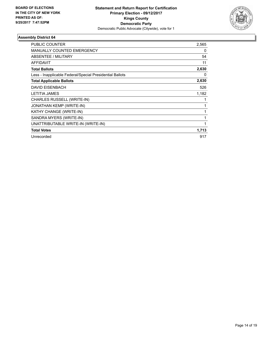

| PUBLIC COUNTER                                           | 2,565 |
|----------------------------------------------------------|-------|
| <b>MANUALLY COUNTED EMERGENCY</b>                        | 0     |
| ABSENTEE / MILITARY                                      | 54    |
| <b>AFFIDAVIT</b>                                         | 11    |
| <b>Total Ballots</b>                                     | 2,630 |
| Less - Inapplicable Federal/Special Presidential Ballots | 0     |
| <b>Total Applicable Ballots</b>                          | 2,630 |
| <b>DAVID EISENBACH</b>                                   | 526   |
| <b>LETITIA JAMES</b>                                     | 1,182 |
| CHARLES RUSSELL (WRITE-IN)                               |       |
| <b>JONATHAN KEMP (WRITE-IN)</b>                          |       |
| KATHY CHANGE (WRITE-IN)                                  |       |
| SANDRA MYERS (WRITE-IN)                                  |       |
| UNATTRIBUTABLE WRITE-IN (WRITE-IN)                       |       |
| <b>Total Votes</b>                                       | 1,713 |
| Unrecorded                                               | 917   |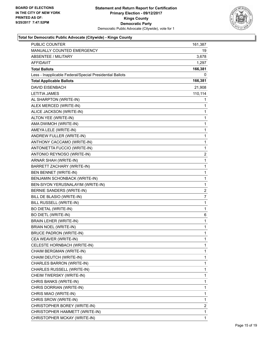

| PUBLIC COUNTER                                           | 161,387                 |
|----------------------------------------------------------|-------------------------|
| MANUALLY COUNTED EMERGENCY                               | 19                      |
| <b>ABSENTEE / MILITARY</b>                               | 3,678                   |
| <b>AFFIDAVIT</b>                                         | 1,297                   |
| <b>Total Ballots</b>                                     | 166,381                 |
| Less - Inapplicable Federal/Special Presidential Ballots | 0                       |
| <b>Total Applicable Ballots</b>                          | 166,381                 |
| <b>DAVID EISENBACH</b>                                   | 21,908                  |
| <b>LETITIA JAMES</b>                                     | 110,114                 |
| AL SHARPTON (WRITE-IN)                                   | 1                       |
| ALEX MERCED (WRITE-IN)                                   | 1                       |
| ALICE JACKSON (WRITE-IN)                                 | 1                       |
| ALTON YEE (WRITE-IN)                                     | 1                       |
| AMA DWIMOH (WRITE-IN)                                    | 1                       |
| AMEYA LELE (WRITE-IN)                                    | 1                       |
| ANDREW FULLER (WRITE-IN)                                 | 1                       |
| ANTHONY CACCAMO (WRITE-IN)                               | 1                       |
| ANTONIETTA FUCCIO (WRITE-IN)                             | 1                       |
| ANTONIO REYNOSO (WRITE-IN)                               | $\overline{\mathbf{c}}$ |
| ARNAR SHAH (WRITE-IN)                                    | 1                       |
| BARRETT ZACHARY (WRITE-IN)                               | 1                       |
| BEN BENNET (WRITE-IN)                                    | 1                       |
| BENJAMIN SCHONBACK (WRITE-IN)                            | 1                       |
| BEN-SIYON YERUSNALAYIM (WRITE-IN)                        | 1                       |
| BERNIE SANDERS (WRITE-IN)                                | $\overline{\mathbf{c}}$ |
| BILL DE BLASIO (WRITE-IN)                                | 7                       |
| BILL RUSSELL (WRITE-IN)                                  | 1                       |
| <b>BO DIETAL (WRITE-IN)</b>                              | 1                       |
| <b>BO DIETL (WRITE-IN)</b>                               | 6                       |
| <b>BRAIN LEHER (WRITE-IN)</b>                            | 1                       |
| BRIAN NOEL (WRITE-IN)                                    | 1                       |
| <b>BRUCE PADRON (WRITE-IN)</b>                           | 1                       |
| CEA WEAVER (WRITE-IN)                                    | 1                       |
| CELESTE HORNBACH (WRITE-IN)                              | 1                       |
| CHAIM BERGMAN (WRITE-IN)                                 | 1                       |
| CHAIM DEUTCH (WRITE-IN)                                  | 1                       |
| CHARLES BARRON (WRITE-IN)                                | 1                       |
| CHARLES RUSSELL (WRITE-IN)                               | 1                       |
| CHEIM TWERSKY (WRITE-IN)                                 | 1                       |
| CHRIS BANKS (WRITE-IN)                                   | 1                       |
| CHRIS DORRIAN (WRITE-IN)                                 | 1                       |
| CHRIS MIAO (WRITE-IN)                                    | 1                       |
| CHRIS SROW (WRITE-IN)                                    | 1                       |
| CHRISTOPHER BOREY (WRITE-IN)                             | 2                       |
| CHRISTOPHER HAMMETT (WRITE-IN)                           | 1                       |
| CHRISTOPHER MCKAY (WRITE-IN)                             | 1                       |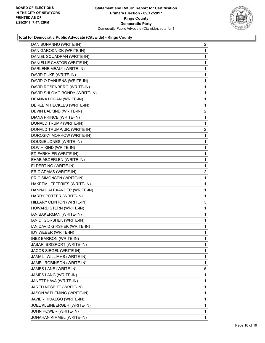

| DAN BONANNO (WRITE-IN)        | 2              |
|-------------------------------|----------------|
| DAN GARODNICK (WRITE-IN)      | 1              |
| DANIEL SQUADRAN (WRITE-IN)    | 1              |
| DANIELLE CASTOR (WRITE-IN)    | 1              |
| DARLENE MEALY (WRITE-IN)      | 1              |
| DAVID DUKE (WRITE-IN)         | 1              |
| DAVID O DANUENS (WRITE-IN)    | 1              |
| DAVID ROSENBERG (WRITE-IN)    | 1              |
| DAVID SHLOMO BONDY (WRITE-IN) | 1              |
| DEANNA LOGAN (WRITE-IN)       | 1              |
| DEREEIM HECKLES (WRITE-IN)    | 1              |
| DEVIN BALKIND (WRITE-IN)      | $\overline{2}$ |
| DIANA PRINCE (WRITE-IN)       | 1              |
| DONALD TRUMP (WRITE-IN)       | 1              |
| DONALD TRUMP, JR. (WRITE-IN)  | 2              |
| DOROSKY MORROW (WRITE-IN)     | 1              |
| DOUGIE JONES (WRITE-IN)       | 1              |
| DOV HIKIND (WRITE-IN)         | 1              |
| ED FARKHIER (WRITE-IN)        | 1              |
| EHAB ABDERLEN (WRITE-IN)      | 1              |
| ELDERT NG (WRITE-IN)          | 1              |
| ERIC ADAMS (WRITE-IN)         | 2              |
| ERIC SIMONSEN (WRITE-IN)      | 1              |
| HAKEEM JEFFERIES (WRITE-IN)   | 1              |
| HANNAH ALEXANDER (WRITE-IN)   | 1              |
| HARRY POTTER (WRITE-IN)       | 1              |
| HILLARY CLINTON (WRITE-IN)    | 3              |
| HOWARD STERN (WRITE-IN)       | 1              |
| IAN BAKERMAN (WRITE-IN)       | 1              |
| IAN D. GORSHEK (WRITE-IN)     | 1              |
| IAN DAVID GIRSHEK (WRITE-IN)  | 1              |
| IDY WEBER (WRITE-IN)          | 1              |
| INEZ BARRON (WRITE-IN)        | 1              |
| JABARI BRISPORT (WRITE-IN)    | 1              |
| JACOB SIEGEL (WRITE-IN)       | 1              |
| JAMA L. WILLIAMS (WRITE-IN)   | 1              |
| JAMEL ROBINSON (WRITE-IN)     | 1              |
| JAMES LANE (WRITE-IN)         | 5              |
| JAMES LANG (WRITE-IN)         | 1              |
| JANETT HAVA (WRITE-IN)        | 1              |
| JARED NESBITT (WRITE-IN)      | 1              |
| JASON W FLEMING (WRITE-IN)    | 1              |
| JAVIER HIDALGO (WRITE-IN)     | 1              |
| JOEL KLEINBERGER (WRITE-IN)   | 1              |
| JOHN POWER (WRITE-IN)         | 1              |
| JONAHAN KIMMEL (WRITE-IN)     | 1              |
|                               |                |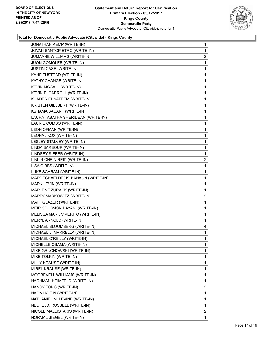

| JONATHAN KEMP (WRITE-IN)           | 1                       |
|------------------------------------|-------------------------|
| JOVAN SANTOPIETRO (WRITE-IN)       | $\mathbf{1}$            |
| JUMAANE WILLIAMS (WRITE-IN)        | $\overline{2}$          |
| JUON GOMOLER (WRITE-IN)            | 1                       |
| JUSTIN CASE (WRITE-IN)             | $\mathbf{1}$            |
| KAHE TUSTEAD (WRITE-IN)            | 1                       |
| KATHY CHANGE (WRITE-IN)            | 1                       |
| KEVIN MCCALL (WRITE-IN)            | $\mathbf{1}$            |
| KEVIN P. CARROLL (WRITE-IN)        | 1                       |
| KHADER EL YATEEM (WRITE-IN)        | 1                       |
| KRISTEN GILLBERT (WRITE-IN)        | 1                       |
| KSHAMA SAUANT (WRITE-IN)           | 1                       |
| LAURA TABATHA SHERIDEAN (WRITE-IN) | 1                       |
| LAURIE COMBO (WRITE-IN)            | $\mathbf{1}$            |
| LEON OFMAN (WRITE-IN)              | 1                       |
| LEONAL KOX (WRITE-IN)              | 1                       |
| LESLEY STALVEY (WRITE-IN)          | 1                       |
| LINDA SARSOUR (WRITE-IN)           | 1                       |
| LINDSEY SIEBER (WRITE-IN)          | 1                       |
| LINLIN CHEIN REID (WRITE-IN)       | $\overline{\mathbf{c}}$ |
| LISA GIBBS (WRITE-IN)              | 1                       |
| LUKE SCHRAM (WRITE-IN)             | 1                       |
| MARDECHAEI DECKLBAHAUN (WRITE-IN)  | 1                       |
| MARK LEVIN (WRITE-IN)              | 1                       |
| MARLENE ZURACK (WRITE-IN)          | 1                       |
| MARTY MARKOWITZ (WRITE-IN)         | $\overline{\mathbf{c}}$ |
| MATT GLAZER (WRITE-IN)             | 1                       |
| MEIR SOLOMON DAYANI (WRITE-IN)     | 1                       |
| MELISSA MARK VIVERITO (WRITE-IN)   | 1                       |
| MERYL ARNOLD (WRITE-IN)            | $\mathbf{1}$            |
| MICHAEL BLOOMBERG (WRITE-IN)       | 4                       |
| MICHAEL L. MARRELLA (WRITE-IN)     | 1                       |
| MICHAEL O'REILLY (WRITE-IN)        | 1                       |
| MICHELLE OBAMA (WRITE-IN)          | 1                       |
| MIKE GRUCHOWSKI (WRITE-IN)         | 1                       |
| MIKE TOLKIN (WRITE-IN)             | 1                       |
| MILLY KRAUSE (WRITE-IN)            | 1                       |
| MIREL KRAUSE (WRITE-IN)            | 1                       |
| MOOREVELL WILLIAMS (WRITE-IN)      | 1                       |
| NACHMAN HEIMFELD (WRITE-IN)        | 1                       |
| NANCY TONG (WRITE-IN)              | $\overline{c}$          |
| NAOMI KLEIN (WRITE-IN)             | 1                       |
| NATHANIEL M. LEVINE (WRITE-IN)     | 1                       |
| NEUFELD, RUSSELL (WRITE-IN)        | 1                       |
| NICOLE MALLIOTAKIS (WRITE-IN)      | $\mathbf{2}$            |
| NORMAL SIEGEL (WRITE-IN)           | 1                       |
|                                    |                         |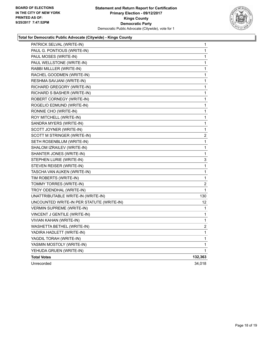

| PATRICK SELVAL (WRITE-IN)                 | 1              |
|-------------------------------------------|----------------|
| PAUL G. PONTIOUS (WRITE-IN)               | 1              |
| PAUL MOSES (WRITE-IN)                     | 1              |
| PAUL WELLSTONE (WRITE-IN)                 | 1              |
| RABBI MILLLER (WRITE-IN)                  | 1              |
| RACHEL GOODMEN (WRITE-IN)                 | 1              |
| RESHMA SAVJANI (WRITE-IN)                 | 1              |
| RICHARD GREGORY (WRITE-IN)                | 1              |
| RICHARD S BASHER (WRITE-IN)               | 1              |
| ROBERT CORNEGY (WRITE-IN)                 | 1              |
| ROGELIO EDMUND (WRITE-IN)                 | 1              |
| RONNIE CHO (WRITE-IN)                     | 1              |
| ROY MITCHELL (WRITE-IN)                   | 1              |
| SANDRA MYERS (WRITE-IN)                   | 1              |
| SCOTT JOYNER (WRITE-IN)                   | 1              |
| SCOTT M STRINGER (WRITE-IN)               | $\overline{c}$ |
| SETH ROSENBLUM (WRITE-IN)                 | 1              |
| SHALOM IZRAILEV (WRITE-IN)                | 1              |
| SHANTER JONES (WRITE-IN)                  | 1              |
| STEPHEN LURIE (WRITE-IN)                  | 3              |
| STEVEN REISER (WRITE-IN)                  | 1              |
| TASCHA VAN AUKEN (WRITE-IN)               | 1              |
| TIM ROBERTS (WRITE-IN)                    | 1              |
| TOMMY TORRES (WRITE-IN)                   | $\overline{c}$ |
| TROY ODENDHAL (WRITE-IN)                  | 1              |
| UNATTRIBUTABLE WRITE-IN (WRITE-IN)        | 130            |
| UNCOUNTED WRITE-IN PER STATUTE (WRITE-IN) | 12             |
| <b>VERMIN SUPREME (WRITE-IN)</b>          | 1              |
| VINCENT J GENTILE (WRITE-IN)              | 1              |
| VIVIAN KAHAN (WRITE-IN)                   | 1              |
| WASHETTA BETHEL (WRITE-IN)                | 2              |
| YADIRA HADLETT (WRITE-IN)                 | 1              |
| YAGDIL TORAH (WRITE-IN)                   | 1              |
| YASMIN MOSTOLY (WRITE-IN)                 | 1              |
| YEHUDA GRUEN (WRITE-IN)                   | 1              |
| <b>Total Votes</b>                        | 132,363        |
| Unrecorded                                | 34,018         |